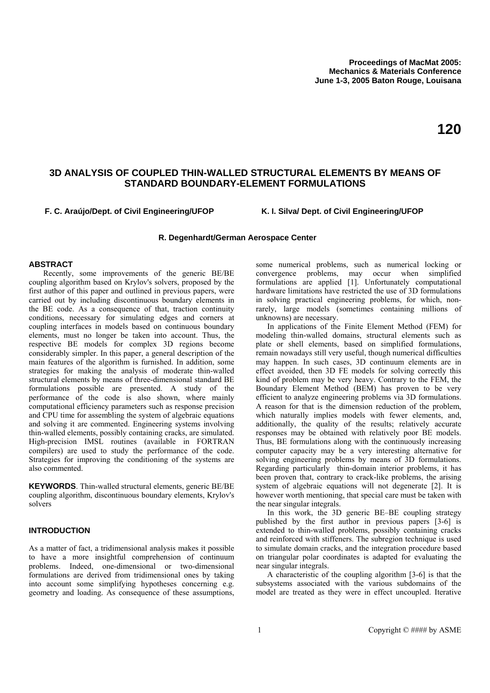# **3D ANALYSIS OF COUPLED THIN-WALLED STRUCTURAL ELEMENTS BY MEANS OF STANDARD BOUNDARY-ELEMENT FORMULATIONS**

## **F. C. Araújo/Dept. of Civil Engineering/UFOP K. I. Silva/ Dept. of Civil Engineering/UFOP**

## **R. Degenhardt/German Aerospace Center**

#### **ABSTRACT**

Recently, some improvements of the generic BE/BE coupling algorithm based on Krylov's solvers, proposed by the first author of this paper and outlined in previous papers, were carried out by including discontinuous boundary elements in the BE code. As a consequence of that, traction continuity conditions, necessary for simulating edges and corners at coupling interfaces in models based on continuous boundary elements, must no longer be taken into account. Thus, the respective BE models for complex 3D regions become considerably simpler. In this paper, a general description of the main features of the algorithm is furnished. In addition, some strategies for making the analysis of moderate thin-walled structural elements by means of three-dimensional standard BE formulations possible are presented. A study of the performance of the code is also shown, where mainly computational efficiency parameters such as response precision and CPU time for assembling the system of algebraic equations and solving it are commented. Engineering systems involving thin-walled elements, possibly containing cracks, are simulated. High-precision IMSL routines (available in FORTRAN compilers) are used to study the performance of the code. Strategies for improving the conditioning of the systems are also commented.

**KEYWORDS**. Thin-walled structural elements, generic BE/BE coupling algorithm, discontinuous boundary elements, Krylov's solvers

# **INTRODUCTION**

As a matter of fact, a tridimensional analysis makes it possible to have a more insightful comprehension of continuum problems. Indeed, one-dimensional or two-dimensional formulations are derived from tridimensional ones by taking into account some simplifying hypotheses concerning e.g. geometry and loading. As consequence of these assumptions,

some numerical problems, such as numerical locking or convergence problems, may occur when simplified formulations are applied [1]. Unfortunately computational hardware limitations have restricted the use of 3D formulations in solving practical engineering problems, for which, nonrarely, large models (sometimes containing millions of unknowns) are necessary.

 In applications of the Finite Element Method (FEM) for modeling thin-walled domains, structural elements such as plate or shell elements, based on simplified formulations, remain nowadays still very useful, though numerical difficulties may happen. In such cases, 3D continuum elements are in effect avoided, then 3D FE models for solving correctly this kind of problem may be very heavy. Contrary to the FEM, the Boundary Element Method (BEM) has proven to be very efficient to analyze engineering problems via 3D formulations. A reason for that is the dimension reduction of the problem, which naturally implies models with fewer elements, and, additionally, the quality of the results; relatively accurate responses may be obtained with relatively poor BE models. Thus, BE formulations along with the continuously increasing computer capacity may be a very interesting alternative for solving engineering problems by means of 3D formulations. Regarding particularly thin-domain interior problems, it has been proven that, contrary to crack-like problems, the arising system of algebraic equations will not degenerate [2]. It is however worth mentioning, that special care must be taken with the near singular integrals.

In this work, the 3D generic BE–BE coupling strategy published by the first author in previous papers [3-6] is extended to thin-walled problems, possibly containing cracks and reinforced with stiffeners. The subregion technique is used to simulate domain cracks, and the integration procedure based on triangular polar coordinates is adapted for evaluating the near singular integrals.

A characteristic of the coupling algorithm [3-6] is that the subsystems associated with the various subdomains of the model are treated as they were in effect uncoupled. Iterative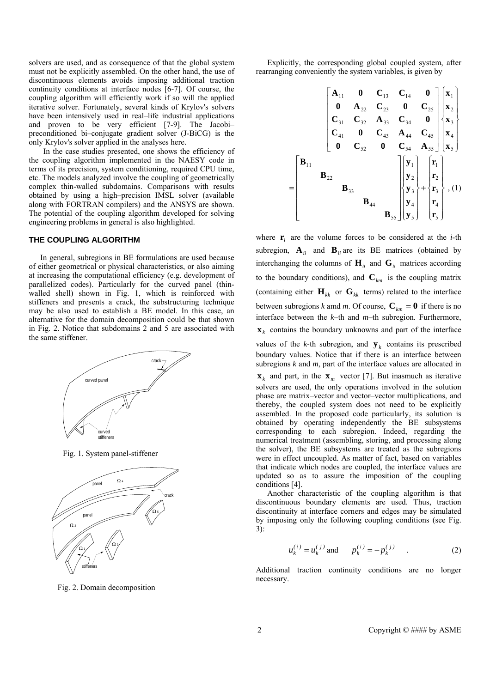solvers are used, and as consequence of that the global system must not be explicitly assembled. On the other hand, the use of discontinuous elements avoids imposing additional traction continuity conditions at interface nodes [6-7]. Of course, the coupling algorithm will efficiently work if so will the applied iterative solver. Fortunately, several kinds of Krylov's solvers have been intensively used in real–life industrial applications and proven to be very efficient [7-9]. The Jacobi– preconditioned bi–conjugate gradient solver (J-BiCG) is the only Krylov's solver applied in the analyses here.

In the case studies presented, one shows the efficiency of the coupling algorithm implemented in the NAESY code in terms of its precision, system conditioning, required CPU time, etc. The models analyzed involve the coupling of geometrically complex thin-walled subdomains. Comparisons with results obtained by using a high–precision IMSL solver (available along with FORTRAN compilers) and the ANSYS are shown. The potential of the coupling algorithm developed for solving engineering problems in general is also highlighted.

#### **THE COUPLING ALGORITHM**

In general, subregions in BE formulations are used because of either geometrical or physical characteristics, or also aiming at increasing the computational efficiency (e.g. development of parallelized codes). Particularly for the curved panel (thinwalled shell) shown in Fig. 1, which is reinforced with stiffeners and presents a crack, the substructuring technique may be also used to establish a BE model. In this case, an alternative for the domain decomposition could be that shown in Fig. 2. Notice that subdomains 2 and 5 are associated with the same stiffener.



Fig. 1. System panel-stiffener



Fig. 2. Domain decomposition

Explicitly, the corresponding global coupled system, after rearranging conveniently the system variables, is given by

=

$$
\begin{bmatrix}\n\mathbf{A}_{11} & \mathbf{0} & \mathbf{C}_{13} & \mathbf{C}_{14} & \mathbf{0} \\
\mathbf{0} & \mathbf{A}_{22} & \mathbf{C}_{23} & \mathbf{0} & \mathbf{C}_{25} \\
\mathbf{C}_{31} & \mathbf{C}_{32} & \mathbf{A}_{33} & \mathbf{C}_{34} & \mathbf{0} \\
\mathbf{C}_{41} & \mathbf{0} & \mathbf{C}_{43} & \mathbf{A}_{44} & \mathbf{C}_{45} \\
\mathbf{0} & \mathbf{C}_{52} & \mathbf{0} & \mathbf{C}_{54} & \mathbf{A}_{55}\n\end{bmatrix}\n\begin{bmatrix}\n\mathbf{x}_1 \\
\mathbf{x}_2 \\
\mathbf{x}_3 \\
\mathbf{x}_4 \\
\mathbf{x}_5\n\end{bmatrix}
$$
\n
$$
\mathbf{B}_{11}
$$
\n
$$
\mathbf{B}_{22}
$$
\n
$$
\mathbf{B}_{33}
$$
\n
$$
\mathbf{B}_{44}
$$
\n
$$
\mathbf{B}_{55}\n\begin{bmatrix}\n\mathbf{y}_1 \\
\mathbf{y}_2 \\
\mathbf{y}_3 \\
\mathbf{y}_4\n\end{bmatrix} + \n\begin{bmatrix}\n\mathbf{r}_1 \\
\mathbf{r}_2 \\
\mathbf{r}_3 \\
\mathbf{r}_4 \\
\mathbf{r}_5\n\end{bmatrix}, (1)
$$

where  $\mathbf{r}_i$  are the volume forces to be considered at the *i*-th subregion,  $\mathbf{A}_{ii}$  and  $\mathbf{B}_{ii}$  are its BE matrices (obtained by interchanging the columns of  $\mathbf{H}_{ii}$  and  $\mathbf{G}_{ii}$  matrices according to the boundary conditions), and  $\mathbf{C}_{km}$  is the coupling matrix (containing either  $\mathbf{H}_{kk}$  or  $\mathbf{G}_{kk}$  terms) related to the interface between subregions *k* amd *m*. Of course,  $C_{km} = 0$  if there is no interface between the *k*–th and *m*–th subregion. Furthermore,  $\mathbf{x}_k$  contains the boundary unknowns and part of the interface values of the *k*-th subregion, and  $y_k$  contains its prescribed boundary values. Notice that if there is an interface between subregions *k* and *m*, part of the interface values are allocated in  $\mathbf{x}_k$  and part, in the  $\mathbf{x}_m$  vector [7]. But inasmuch as iterative solvers are used, the only operations involved in the solution phase are matrix–vector and vector–vector multiplications, and thereby, the coupled system does not need to be explicitly

assembled. In the proposed code particularly, its solution is obtained by operating independently the BE subsystems corresponding to each subregion. Indeed, regarding the numerical treatment (assembling, storing, and processing along the solver), the BE subsystems are treated as the subregions were in effect uncoupled. As matter of fact, based on variables that indicate which nodes are coupled, the interface values are updated so as to assure the imposition of the coupling conditions [4].

Another characteristic of the coupling algorithm is that discontinuous boundary elements are used. Thus, traction discontinuity at interface corners and edges may be simulated by imposing only the following coupling conditions (see Fig. 3):

$$
u_k^{(i)} = u_k^{(j)}
$$
 and  $p_k^{(i)} = -p_k^{(j)}$  (2)

Additional traction continuity conditions are no longer necessary.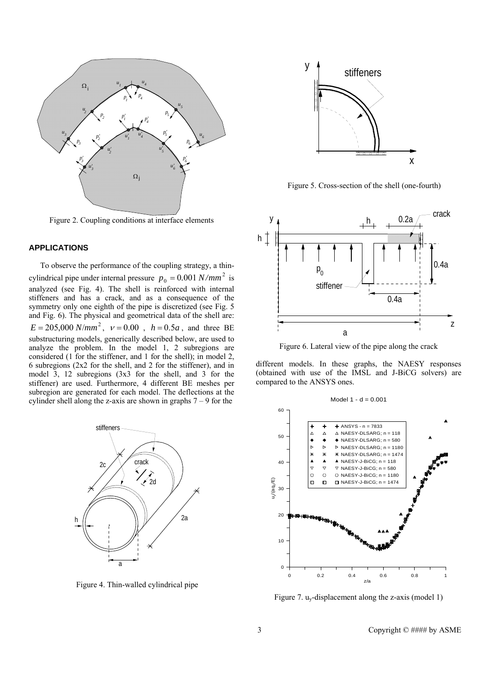

Figure 2. Coupling conditions at interface elements

# **APPLICATIONS**

To observe the performance of the coupling strategy, a thincylindrical pipe under internal pressure  $p_0 = 0.001 N/mm^2$  is analyzed (see Fig. 4). The shell is reinforced with internal stiffeners and has a crack, and as a consequence of the symmetry only one eighth of the pipe is discretized (see Fig. 5) and Fig. 6). The physical and geometrical data of the shell are:  $E = 205,000 \text{ N/mm}^2$ ,  $v = 0.00$ ,  $h = 0.5a$ , and three BE substructuring models, generically described below, are used to analyze the problem. In the model 1, 2 subregions are considered (1 for the stiffener, and 1 for the shell); in model 2, 6 subregions (2x2 for the shell, and 2 for the stiffener), and in model 3, 12 subregions (3x3 for the shell, and 3 for the stiffener) are used. Furthermore, 4 different BE meshes per subregion are generated for each model. The deflections at the cylinder shell along the z-axis are shown in graphs  $7 - 9$  for the



Figure 4. Thin-walled cylindrical pipe



Figure 5. Cross-section of the shell (one-fourth)



Figure 6. Lateral view of the pipe along the crack

different models. In these graphs, the NAESY responses (obtained with use of the IMSL and J-BiCG solvers) are compared to the ANSYS ones.



Figure 7. uy-displacement along the z-axis (model 1)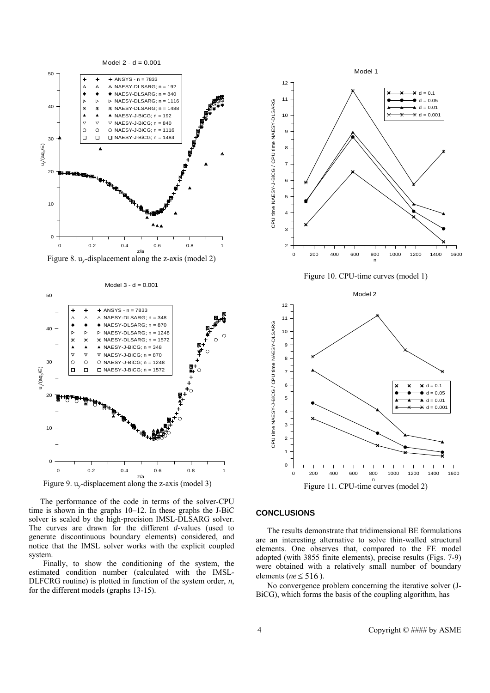

Figure 8.  $u_v$ -displacement along the z-axis (model 2)



The performance of the code in terms of the solver-CPU time is shown in the graphs 10–12. In these graphs the J-BiC solver is scaled by the high-precision IMSL-DLSARG solver. The curves are drawn for the different *d*-values (used to generate discontinuous boundary elements) considered, and notice that the IMSL solver works with the explicit coupled system.

Finally, to show the conditioning of the system, the estimated condition number (calculated with the IMSL-DLFCRG routine) is plotted in function of the system order, *n*, for the different models (graphs 13-15).



Figure 10. CPU-time curves (model 1)



#### **CONCLUSIONS**

 The results demonstrate that tridimensional BE formulations are an interesting alternative to solve thin-walled structural elements. One observes that, compared to the FE model adopted (with 3855 finite elements), precise results (Figs. 7-9) were obtained with a relatively small number of boundary elements (*ne* ≤ 516 ).

No convergence problem concerning the iterative solver (J-BiCG), which forms the basis of the coupling algorithm, has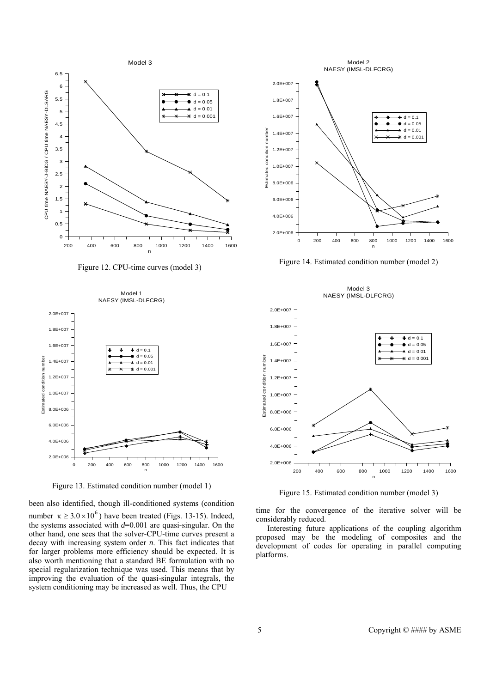

Figure 12. CPU-time curves (model 3)



Figure 13. Estimated condition number (model 1)

been also identified, though ill-conditioned systems (condition number  $\kappa \ge 3.0 \times 10^6$ ) have been treated (Figs. 13-15). Indeed, the systems associated with  $d=0.001$  are quasi-singular. On the other hand, one sees that the solver-CPU-time curves present a decay with increasing system order *n*. This fact indicates that for larger problems more efficiency should be expected. It is also worth mentioning that a standard BE formulation with no special regularization technique was used. This means that by improving the evaluation of the quasi-singular integrals, the system conditioning may be increased as well. Thus, the CPU



Figure 14. Estimated condition number (model 2)



Figure 15. Estimated condition number (model 3)

time for the convergence of the iterative solver will be considerably reduced.

 Interesting future applications of the coupling algorithm proposed may be the modeling of composites and the development of codes for operating in parallel computing platforms.